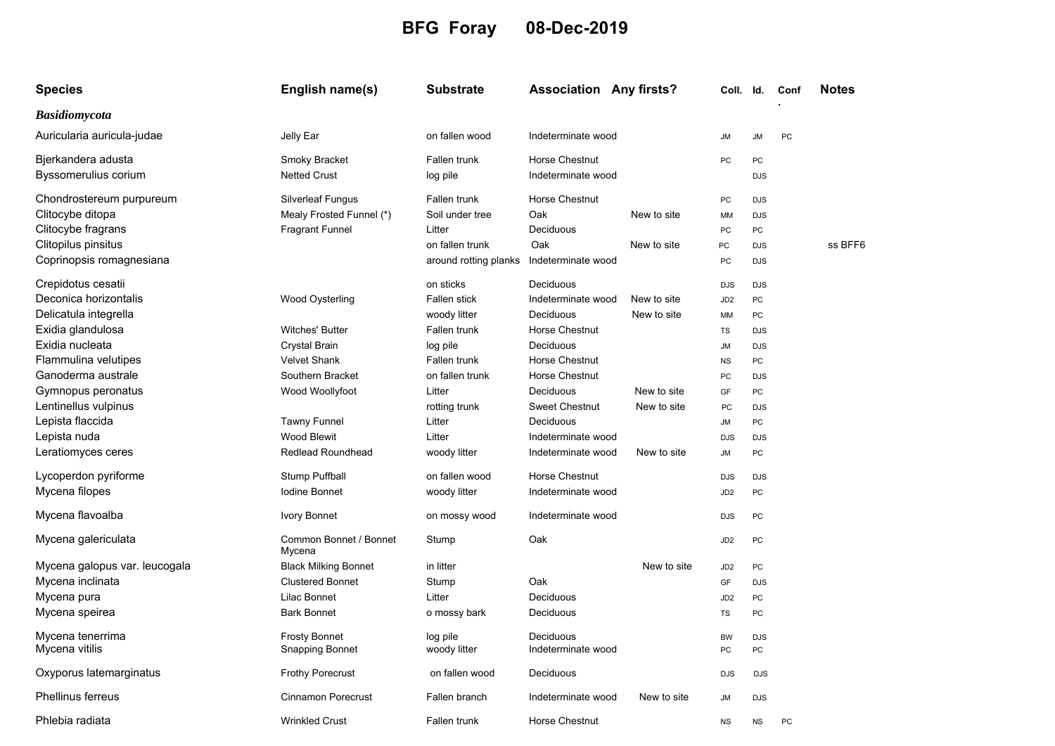## **BFG Foray 08-Dec-2019**

| <b>Species</b>                                  | English name(s)                                      | <b>Substrate</b>                         | <b>Association Any firsts?</b>              |                            | Coll. Id.             |                          | Conf | Notes   |
|-------------------------------------------------|------------------------------------------------------|------------------------------------------|---------------------------------------------|----------------------------|-----------------------|--------------------------|------|---------|
| <b>Basidiomycota</b>                            |                                                      |                                          |                                             |                            |                       |                          |      |         |
| Auricularia auricula-judae                      | Jelly Ear                                            | on fallen wood                           | Indeterminate wood                          |                            | <b>JM</b>             | <b>JM</b>                | PC   |         |
| Bjerkandera adusta<br>Byssomerulius corium      | Smoky Bracket<br><b>Netted Crust</b>                 | Fallen trunk<br>log pile                 | <b>Horse Chestnut</b><br>Indeterminate wood |                            | PC                    | PC<br><b>DJS</b>         |      |         |
| Chondrostereum purpureum<br>Clitocybe ditopa    | <b>Silverleaf Fungus</b><br>Mealy Frosted Funnel (*) | Fallen trunk<br>Soil under tree          | Horse Chestnut<br>Oak                       | New to site                | PC<br>МM              | <b>DJS</b><br><b>DJS</b> |      |         |
| Clitocybe fragrans                              | <b>Fragrant Funnel</b>                               | Litter                                   | Deciduous                                   |                            | PC                    | PC                       |      |         |
| Clitopilus pinsitus<br>Coprinopsis romagnesiana |                                                      | on fallen trunk<br>around rotting planks | Oak<br>Indeterminate wood                   | New to site                | PC<br>PC              | <b>DJS</b><br><b>DJS</b> |      | ss BFF6 |
| Crepidotus cesatii                              |                                                      | on sticks                                | Deciduous                                   |                            | <b>DJS</b>            | <b>DJS</b>               |      |         |
| Deconica horizontalis<br>Delicatula integrella  | <b>Wood Oysterling</b>                               | Fallen stick<br>woody litter             | Indeterminate wood<br>Deciduous             | New to site<br>New to site | JD <sub>2</sub><br>MM | PC<br><b>PC</b>          |      |         |
| Exidia glandulosa                               | <b>Witches' Butter</b>                               | Fallen trunk                             | Horse Chestnut                              |                            | TS                    | <b>DJS</b>               |      |         |
| Exidia nucleata                                 | <b>Crystal Brain</b>                                 | log pile                                 | Deciduous                                   |                            | <b>JM</b>             | <b>DJS</b>               |      |         |
| Flammulina velutipes                            | <b>Velvet Shank</b>                                  | Fallen trunk                             | Horse Chestnut                              |                            | <b>NS</b>             | PC                       |      |         |
| Ganoderma australe                              | Southern Bracket                                     | on fallen trunk                          | Horse Chestnut                              |                            | PC                    | <b>DJS</b>               |      |         |
| Gymnopus peronatus                              | Wood Woollyfoot                                      | Litter                                   | Deciduous                                   | New to site                | GF                    | PC                       |      |         |
| Lentinellus vulpinus                            |                                                      | rotting trunk                            | <b>Sweet Chestnut</b>                       | New to site                | PC                    | <b>DJS</b>               |      |         |
| Lepista flaccida                                | <b>Tawny Funnel</b>                                  | Litter                                   | Deciduous                                   |                            | <b>JM</b>             | PC                       |      |         |
| Lepista nuda                                    | <b>Wood Blewit</b>                                   | Litter                                   | Indeterminate wood                          |                            | <b>DJS</b>            | <b>DJS</b>               |      |         |
| Leratiomyces ceres                              | <b>Redlead Roundhead</b>                             | woody litter                             | Indeterminate wood                          | New to site                | <b>JM</b>             | PC                       |      |         |
| Lycoperdon pyriforme                            | Stump Puffball                                       | on fallen wood                           | <b>Horse Chestnut</b>                       |                            | <b>DJS</b>            | <b>DJS</b>               |      |         |
| Mycena filopes                                  | <b>Iodine Bonnet</b>                                 | woody litter                             | Indeterminate wood                          |                            | JD <sub>2</sub>       | PC                       |      |         |
| Mycena flavoalba                                | <b>Ivory Bonnet</b>                                  | on mossy wood                            | Indeterminate wood                          |                            | <b>DJS</b>            | PC                       |      |         |
| Mycena galericulata                             | Common Bonnet / Bonnet<br>Mycena                     | Stump                                    | Oak                                         |                            | JD <sub>2</sub>       | PC                       |      |         |
| Mycena galopus var. leucogala                   | <b>Black Milking Bonnet</b>                          | in litter                                |                                             | New to site                | JD <sub>2</sub>       | PC                       |      |         |
| Mycena inclinata                                | <b>Clustered Bonnet</b>                              | Stump                                    | Oak                                         |                            | GF                    | <b>DJS</b>               |      |         |
| Mycena pura                                     | Lilac Bonnet                                         | Litter                                   | Deciduous                                   |                            | JD <sub>2</sub>       | PC                       |      |         |
| Mycena speirea                                  | <b>Bark Bonnet</b>                                   | o mossy bark                             | Deciduous                                   |                            | <b>TS</b>             | <b>PC</b>                |      |         |
| Mycena tenerrima<br>Mycena vitilis              | <b>Frosty Bonnet</b><br><b>Snapping Bonnet</b>       | log pile<br>woody litter                 | Deciduous<br>Indeterminate wood             |                            | <b>BW</b><br>PC       | <b>DJS</b><br>PC         |      |         |
| Oxyporus latemarginatus                         | <b>Frothy Porecrust</b>                              | on fallen wood                           | Deciduous                                   |                            | <b>DJS</b>            | <b>DJS</b>               |      |         |
| <b>Phellinus ferreus</b>                        | <b>Cinnamon Porecrust</b>                            | Fallen branch                            | Indeterminate wood                          | New to site                | <b>JM</b>             | <b>DJS</b>               |      |         |
| Phlebia radiata                                 | <b>Wrinkled Crust</b>                                | Fallen trunk                             | Horse Chestnut                              |                            | <b>NS</b>             | <b>NS</b>                | PC   |         |